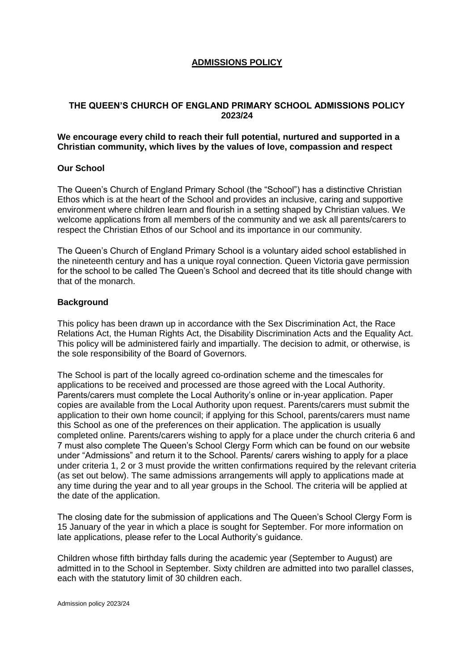# **ADMISSIONS POLICY**

## **THE QUEEN'S CHURCH OF ENGLAND PRIMARY SCHOOL ADMISSIONS POLICY 2023/24**

## **We encourage every child to reach their full potential, nurtured and supported in a Christian community, which lives by the values of love, compassion and respect**

## **Our School**

The Queen's Church of England Primary School (the "School") has a distinctive Christian Ethos which is at the heart of the School and provides an inclusive, caring and supportive environment where children learn and flourish in a setting shaped by Christian values. We welcome applications from all members of the community and we ask all parents/carers to respect the Christian Ethos of our School and its importance in our community.

The Queen's Church of England Primary School is a voluntary aided school established in the nineteenth century and has a unique royal connection. Queen Victoria gave permission for the school to be called The Queen's School and decreed that its title should change with that of the monarch.

## **Background**

This policy has been drawn up in accordance with the Sex Discrimination Act, the Race Relations Act, the Human Rights Act, the Disability Discrimination Acts and the Equality Act. This policy will be administered fairly and impartially. The decision to admit, or otherwise, is the sole responsibility of the Board of Governors.

The School is part of the locally agreed co-ordination scheme and the timescales for applications to be received and processed are those agreed with the Local Authority. Parents/carers must complete the Local Authority's online or in-year application. Paper copies are available from the Local Authority upon request. Parents/carers must submit the application to their own home council; if applying for this School, parents/carers must name this School as one of the preferences on their application. The application is usually completed online. Parents/carers wishing to apply for a place under the church criteria 6 and 7 must also complete The Queen's School Clergy Form which can be found on our website under "Admissions" and return it to the School. Parents/ carers wishing to apply for a place under criteria 1, 2 or 3 must provide the written confirmations required by the relevant criteria (as set out below). The same admissions arrangements will apply to applications made at any time during the year and to all year groups in the School. The criteria will be applied at the date of the application.

The closing date for the submission of applications and The Queen's School Clergy Form is 15 January of the year in which a place is sought for September. For more information on late applications, please refer to the Local Authority's guidance.

Children whose fifth birthday falls during the academic year (September to August) are admitted in to the School in September. Sixty children are admitted into two parallel classes, each with the statutory limit of 30 children each.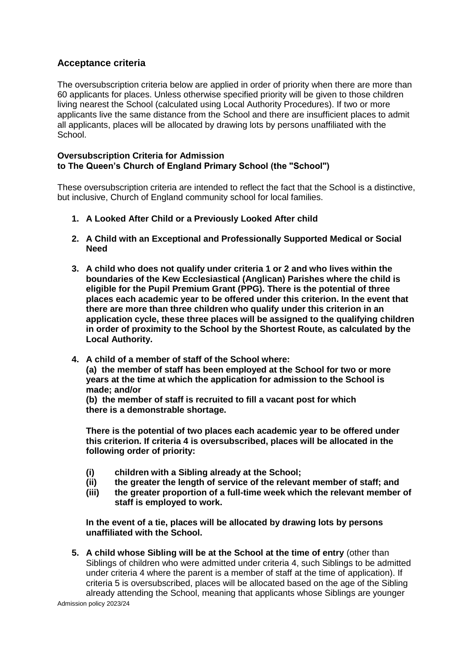# **Acceptance criteria**

The oversubscription criteria below are applied in order of priority when there are more than 60 applicants for places. Unless otherwise specified priority will be given to those children living nearest the School (calculated using Local Authority Procedures). If two or more applicants live the same distance from the School and there are insufficient places to admit all applicants, places will be allocated by drawing lots by persons unaffiliated with the School.

## **Oversubscription Criteria for Admission to The Queen's Church of England Primary School (the "School")**

These oversubscription criteria are intended to reflect the fact that the School is a distinctive, but inclusive, Church of England community school for local families.

- **1. A Looked After Child or a Previously Looked After child**
- **2. A Child with an Exceptional and Professionally Supported Medical or Social Need**
- **3. A child who does not qualify under criteria 1 or 2 and who lives within the boundaries of the Kew Ecclesiastical (Anglican) Parishes where the child is eligible for the Pupil Premium Grant (PPG). There is the potential of three places each academic year to be offered under this criterion. In the event that there are more than three children who qualify under this criterion in an application cycle, these three places will be assigned to the qualifying children in order of proximity to the School by the Shortest Route, as calculated by the Local Authority.**
- **4. A child of a member of staff of the School where: (a) the member of staff has been employed at the School for two or more years at the time at which the application for admission to the School is made; and/or**

**(b) the member of staff is recruited to fill a vacant post for which there is a demonstrable shortage.** 

**There is the potential of two places each academic year to be offered under this criterion. If criteria 4 is oversubscribed, places will be allocated in the following order of priority:** 

- **(i) children with a Sibling already at the School;**
- **(ii) the greater the length of service of the relevant member of staff; and**
- **(iii) the greater proportion of a full-time week which the relevant member of staff is employed to work.**

**In the event of a tie, places will be allocated by drawing lots by persons unaffiliated with the School.** 

**5. A child whose Sibling will be at the School at the time of entry** (other than Siblings of children who were admitted under criteria 4, such Siblings to be admitted under criteria 4 where the parent is a member of staff at the time of application). If criteria 5 is oversubscribed, places will be allocated based on the age of the Sibling already attending the School, meaning that applicants whose Siblings are younger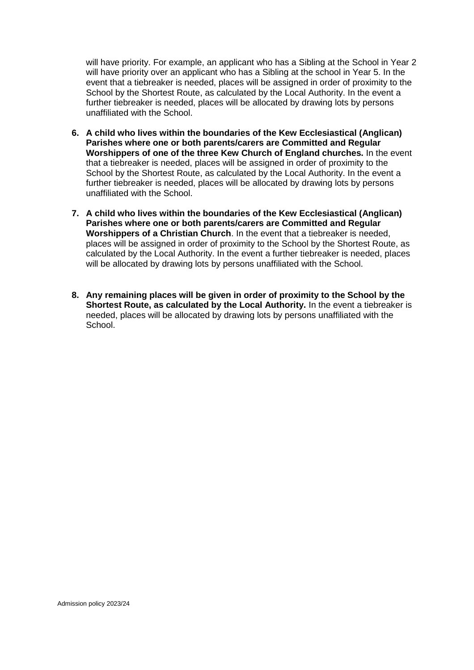will have priority. For example, an applicant who has a Sibling at the School in Year 2 will have priority over an applicant who has a Sibling at the school in Year 5. In the event that a tiebreaker is needed, places will be assigned in order of proximity to the School by the Shortest Route, as calculated by the Local Authority. In the event a further tiebreaker is needed, places will be allocated by drawing lots by persons unaffiliated with the School.

- **6. A child who lives within the boundaries of the Kew Ecclesiastical (Anglican) Parishes where one or both parents/carers are Committed and Regular Worshippers of one of the three Kew Church of England churches.** In the event that a tiebreaker is needed, places will be assigned in order of proximity to the School by the Shortest Route, as calculated by the Local Authority. In the event a further tiebreaker is needed, places will be allocated by drawing lots by persons unaffiliated with the School.
- **7. A child who lives within the boundaries of the Kew Ecclesiastical (Anglican) Parishes where one or both parents/carers are Committed and Regular Worshippers of a Christian Church**. In the event that a tiebreaker is needed, places will be assigned in order of proximity to the School by the Shortest Route, as calculated by the Local Authority. In the event a further tiebreaker is needed, places will be allocated by drawing lots by persons unaffiliated with the School.
- **8. Any remaining places will be given in order of proximity to the School by the Shortest Route, as calculated by the Local Authority.** In the event a tiebreaker is needed, places will be allocated by drawing lots by persons unaffiliated with the School.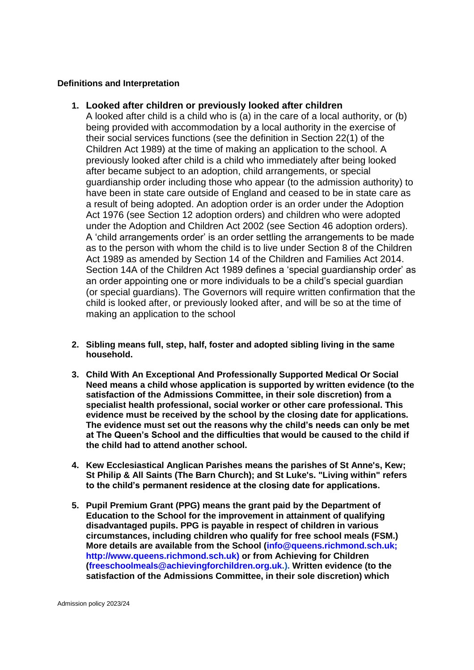## **Definitions and Interpretation**

# **1. Looked after children or previously looked after children**

A looked after child is a child who is (a) in the care of a local authority, or (b) being provided with accommodation by a local authority in the exercise of their social services functions (see the definition in Section 22(1) of the Children Act 1989) at the time of making an application to the school. A previously looked after child is a child who immediately after being looked after became subject to an adoption, child arrangements, or special guardianship order including those who appear (to the admission authority) to have been in state care outside of England and ceased to be in state care as a result of being adopted. An adoption order is an order under the Adoption Act 1976 (see Section 12 adoption orders) and children who were adopted under the Adoption and Children Act 2002 (see Section 46 adoption orders). A 'child arrangements order' is an order settling the arrangements to be made as to the person with whom the child is to live under Section 8 of the Children Act 1989 as amended by Section 14 of the Children and Families Act 2014. Section 14A of the Children Act 1989 defines a 'special guardianship order' as an order appointing one or more individuals to be a child's special guardian (or special guardians). The Governors will require written confirmation that the child is looked after, or previously looked after, and will be so at the time of making an application to the school

- **2. Sibling means full, step, half, foster and adopted sibling living in the same household.**
- **3. Child With An Exceptional And Professionally Supported Medical Or Social Need means a child whose application is supported by written evidence (to the satisfaction of the Admissions Committee, in their sole discretion) from a specialist health professional, social worker or other care professional. This evidence must be received by the school by the closing date for applications. The evidence must set out the reasons why the child's needs can only be met at The Queen's School and the difficulties that would be caused to the child if the child had to attend another school.**
- **4. Kew Ecclesiastical Anglican Parishes means the parishes of St Anne's, Kew; St Philip & All Saints (The Barn Church); and St Luke's. "Living within" refers to the child's permanent residence at the closing date for applications.**
- **5. Pupil Premium Grant (PPG) means the grant paid by the Department of Education to the School for the improvement in attainment of qualifying disadvantaged pupils. PPG is payable in respect of children in various circumstances, including children who qualify for free school meals (FSM.) More details are available from the School (info@queens.richmond.sch.uk; http://www.queens.richmond.sch.uk) or from Achieving for Children (freeschoolmeals@achievingforchildren.org.uk.). Written evidence (to the satisfaction of the Admissions Committee, in their sole discretion) which**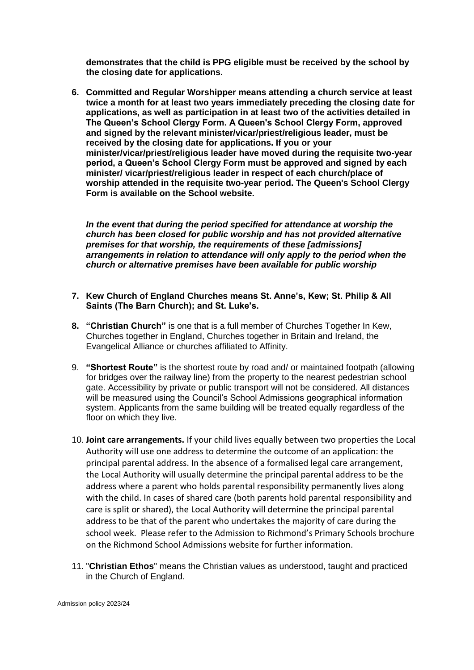**demonstrates that the child is PPG eligible must be received by the school by the closing date for applications.** 

**6. Committed and Regular Worshipper means attending a church service at least twice a month for at least two years immediately preceding the closing date for applications, as well as participation in at least two of the activities detailed in The Queen's School Clergy Form. A Queen's School Clergy Form, approved and signed by the relevant minister/vicar/priest/religious leader, must be received by the closing date for applications. If you or your minister/vicar/priest/religious leader have moved during the requisite two-year period, a Queen's School Clergy Form must be approved and signed by each minister/ vicar/priest/religious leader in respect of each church/place of worship attended in the requisite two-year period. The Queen's School Clergy Form is available on the School website.** 

*In the event that during the period specified for attendance at worship the church has been closed for public worship and has not provided alternative premises for that worship, the requirements of these [admissions] arrangements in relation to attendance will only apply to the period when the church or alternative premises have been available for public worship*

- **7. Kew Church of England Churches means St. Anne's, Kew; St. Philip & All Saints (The Barn Church); and St. Luke's.**
- **8. "Christian Church"** is one that is a full member of Churches Together In Kew, Churches together in England, Churches together in Britain and Ireland, the Evangelical Alliance or churches affiliated to Affinity.
- 9. **"Shortest Route"** is the shortest route by road and/ or maintained footpath (allowing for bridges over the railway line) from the property to the nearest pedestrian school gate. Accessibility by private or public transport will not be considered. All distances will be measured using the Council's School Admissions geographical information system. Applicants from the same building will be treated equally regardless of the floor on which they live.
- 10. **Joint care arrangements.** If your child lives equally between two properties the Local Authority will use one address to determine the outcome of an application: the principal parental address. In the absence of a formalised legal care arrangement, the Local Authority will usually determine the principal parental address to be the address where a parent who holds parental responsibility permanently lives along with the child. In cases of shared care (both parents hold parental responsibility and care is split or shared), the Local Authority will determine the principal parental address to be that of the parent who undertakes the majority of care during the school week. Please refer to the Admission to Richmond's Primary Schools brochure on the Richmond School Admissions website for further information.
- 11. "**Christian Ethos**" means the Christian values as understood, taught and practiced in the Church of England.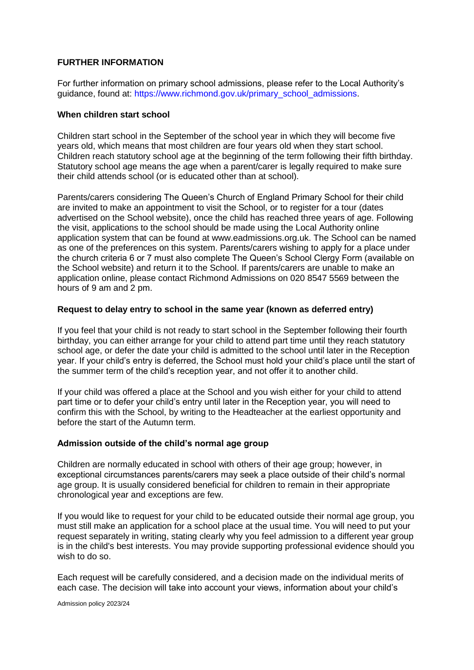# **FURTHER INFORMATION**

For further information on primary school admissions, please refer to the Local Authority's guidance, found at: https://www.richmond.gov.uk/primary\_school\_admissions.

#### **When children start school**

Children start school in the September of the school year in which they will become five years old, which means that most children are four years old when they start school. Children reach statutory school age at the beginning of the term following their fifth birthday. Statutory school age means the age when a parent/carer is legally required to make sure their child attends school (or is educated other than at school).

Parents/carers considering The Queen's Church of England Primary School for their child are invited to make an appointment to visit the School, or to register for a tour (dates advertised on the School website), once the child has reached three years of age. Following the visit, applications to the school should be made using the Local Authority online application system that can be found at www.eadmissions.org.uk. The School can be named as one of the preferences on this system. Parents/carers wishing to apply for a place under the church criteria 6 or 7 must also complete The Queen's School Clergy Form (available on the School website) and return it to the School. If parents/carers are unable to make an application online, please contact Richmond Admissions on 020 8547 5569 between the hours of 9 am and 2 pm.

## **Request to delay entry to school in the same year (known as deferred entry)**

If you feel that your child is not ready to start school in the September following their fourth birthday, you can either arrange for your child to attend part time until they reach statutory school age, or defer the date your child is admitted to the school until later in the Reception year. If your child's entry is deferred, the School must hold your child's place until the start of the summer term of the child's reception year, and not offer it to another child.

If your child was offered a place at the School and you wish either for your child to attend part time or to defer your child's entry until later in the Reception year, you will need to confirm this with the School, by writing to the Headteacher at the earliest opportunity and before the start of the Autumn term.

## **Admission outside of the child's normal age group**

Children are normally educated in school with others of their age group; however, in exceptional circumstances parents/carers may seek a place outside of their child's normal age group. It is usually considered beneficial for children to remain in their appropriate chronological year and exceptions are few.

If you would like to request for your child to be educated outside their normal age group, you must still make an application for a school place at the usual time. You will need to put your request separately in writing, stating clearly why you feel admission to a different year group is in the child's best interests. You may provide supporting professional evidence should you wish to do so.

Each request will be carefully considered, and a decision made on the individual merits of each case. The decision will take into account your views, information about your child's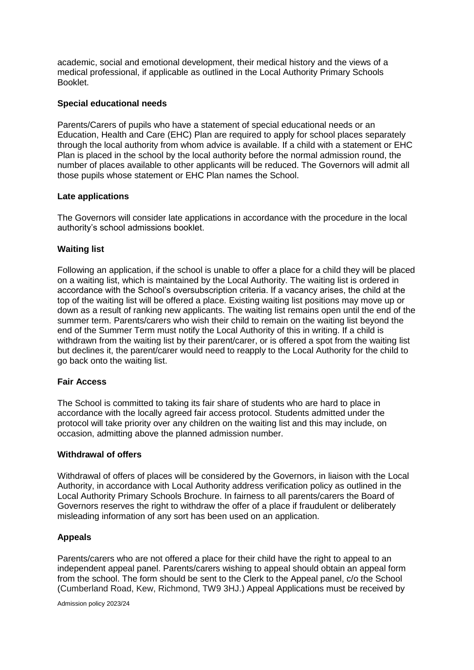academic, social and emotional development, their medical history and the views of a medical professional, if applicable as outlined in the Local Authority Primary Schools Booklet.

## **Special educational needs**

Parents/Carers of pupils who have a statement of special educational needs or an Education, Health and Care (EHC) Plan are required to apply for school places separately through the local authority from whom advice is available. If a child with a statement or EHC Plan is placed in the school by the local authority before the normal admission round, the number of places available to other applicants will be reduced. The Governors will admit all those pupils whose statement or EHC Plan names the School.

## **Late applications**

The Governors will consider late applications in accordance with the procedure in the local authority's school admissions booklet.

## **Waiting list**

Following an application, if the school is unable to offer a place for a child they will be placed on a waiting list, which is maintained by the Local Authority. The waiting list is ordered in accordance with the School's oversubscription criteria. If a vacancy arises, the child at the top of the waiting list will be offered a place. Existing waiting list positions may move up or down as a result of ranking new applicants. The waiting list remains open until the end of the summer term. Parents/carers who wish their child to remain on the waiting list beyond the end of the Summer Term must notify the Local Authority of this in writing. If a child is withdrawn from the waiting list by their parent/carer, or is offered a spot from the waiting list but declines it, the parent/carer would need to reapply to the Local Authority for the child to go back onto the waiting list.

## **Fair Access**

The School is committed to taking its fair share of students who are hard to place in accordance with the locally agreed fair access protocol. Students admitted under the protocol will take priority over any children on the waiting list and this may include, on occasion, admitting above the planned admission number.

## **Withdrawal of offers**

Withdrawal of offers of places will be considered by the Governors, in liaison with the Local Authority, in accordance with Local Authority address verification policy as outlined in the Local Authority Primary Schools Brochure. In fairness to all parents/carers the Board of Governors reserves the right to withdraw the offer of a place if fraudulent or deliberately misleading information of any sort has been used on an application.

# **Appeals**

Parents/carers who are not offered a place for their child have the right to appeal to an independent appeal panel. Parents/carers wishing to appeal should obtain an appeal form from the school. The form should be sent to the Clerk to the Appeal panel, c/o the School (Cumberland Road, Kew, Richmond, TW9 3HJ.) Appeal Applications must be received by